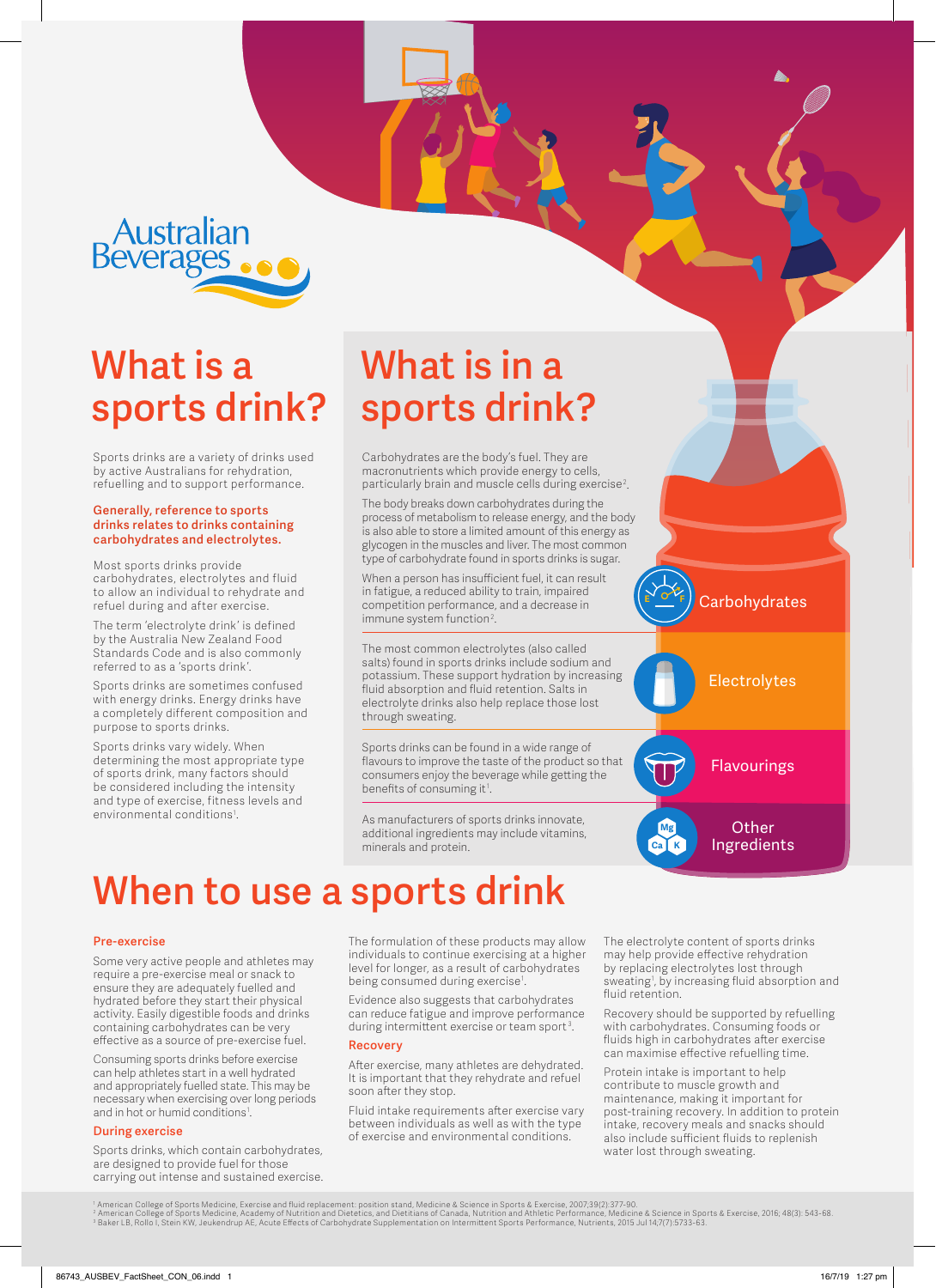Australian<br>Beverages

## **What is a sports drink?**

Sports drinks are a variety of drinks used by active Australians for rehydration, refuelling and to support performance.

#### **Generally, reference to sports drinks relates to drinks containing carbohydrates and electrolytes.**

Most sports drinks provide carbohydrates, electrolytes and fluid to allow an individual to rehydrate and refuel during and after exercise.

The term 'electrolyte drink' is defined by the Australia New Zealand Food Standards Code and is also commonly referred to as a 'sports drink'.

Sports drinks are sometimes confused with energy drinks. Energy drinks have a completely different composition and purpose to sports drinks.

Sports drinks vary widely. When determining the most appropriate type of sports drink, many factors should be considered including the intensity and type of exercise, fitness levels and environmental conditions1 .

# **What is in a sports drink?**

Carbohydrates are the body's fuel. They are macronutrients which provide energy to cells, particularly brain and muscle cells during exercise $^2$ .

The body breaks down carbohydrates during the process of metabolism to release energy, and the body is also able to store a limited amount of this energy as glycogen in the muscles and liver. The most common type of carbohydrate found in sports drinks is sugar.

When a person has insufficient fuel, it can result in fatigue, a reduced ability to train, impaired competition performance, and a decrease in immune system function<sup>2</sup>.

The most common electrolytes (also called salts) found in sports drinks include sodium and potassium. These support hydration by increasing fluid absorption and fluid retention. Salts in electrolyte drinks also help replace those lost through sweating.

Sports drinks can be found in a wide range of flavours to improve the taste of the product so that consumers enjoy the beverage while getting the benefits of consuming it<sup>1</sup>.

As manufacturers of sports drinks innovate, additional ingredients may include vitamins, minerals and protein.

**Carbohydrates E F**





**Other** Ingredients

**Mg Ca K**

# **When to use a sports drink**

### **Pre-exercise**

Some very active people and athletes may require a pre-exercise meal or snack to ensure they are adequately fuelled and hydrated before they start their physical activity. Easily digestible foods and drinks containing carbohydrates can be very effective as a source of pre-exercise fuel.

Consuming sports drinks before exercise can help athletes start in a well hydrated and appropriately fuelled state. This may be necessary when exercising over long periods and in hot or humid conditions<sup>1</sup>.

## **During exercise**

Sports drinks, which contain carbohydrates, are designed to provide fuel for those carrying out intense and sustained exercise.

The formulation of these products may allow individuals to continue exercising at a higher level for longer, as a result of carbohydrates being consumed during exercise1 .

Evidence also suggests that carbohydrates can reduce fatigue and improve performance during intermittent exercise or team sport<sup>3</sup>.

### **Recovery**

After exercise, many athletes are dehydrated. It is important that they rehydrate and refuel soon after they stop.

Fluid intake requirements after exercise vary between individuals as well as with the type of exercise and environmental conditions.

The electrolyte content of sports drinks may help provide effective rehydration by replacing electrolytes lost through sweating1 , by increasing fluid absorption and fluid retention.

Recovery should be supported by refuelling with carbohydrates. Consuming foods or fluids high in carbohydrates after exercise can maximise effective refuelling time.

Protein intake is important to help contribute to muscle growth and maintenance, making it important for post-training recovery. In addition to protein intake, recovery meals and snacks should also include sufficient fluids to replenish water lost through sweating.

' American College of Sports Medicine, Exercise and fluid replacement: position stand, Medicine & Science in Sports & Exercise, 2007;39(2):377-90.<br>? American College of Sports Medicine, Academy of Nutrition and Dietetics,